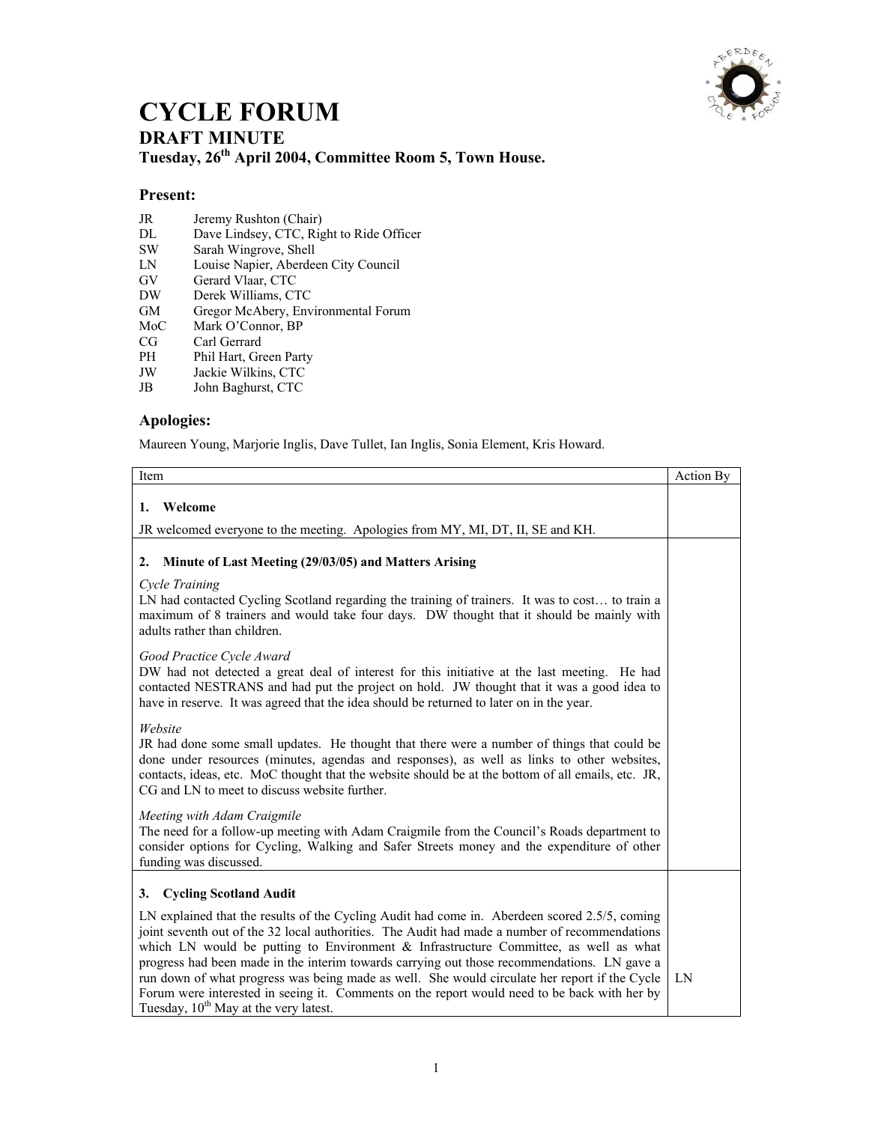

## **CYCLE FORUM DRAFT MINUTE Tuesday, 26th April 2004, Committee Room 5, Town House.**

## **Present:**

- JR Jeremy Rushton (Chair)<br>DL Dave Lindsey, CTC, Rig
- DL Dave Lindsey, CTC, Right to Ride Officer<br>SW Sarah Wingrove, Shell
- SW Sarah Wingrove, Shell<br>LN Louise Napier, Aberdee
- Louise Napier, Aberdeen City Council
- GV Gerard Vlaar, CTC
- DW Derek Williams, CTC
- GM Gregor McAbery, Environmental Forum<br>MoC Mark O'Connor, BP
- Mark O'Connor, BP
- CG Carl Gerrard
- PH Phil Hart, Green Party<br>JW Jackie Wilkins, CTC
- Jackie Wilkins, CTC
- JB John Baghurst, CTC

## **Apologies:**

Maureen Young, Marjorie Inglis, Dave Tullet, Ian Inglis, Sonia Element, Kris Howard.

| Item                                                                                                                                                                                                                                                                                                                                                                                                                                                                                                                                                                                                                                           | Action By |
|------------------------------------------------------------------------------------------------------------------------------------------------------------------------------------------------------------------------------------------------------------------------------------------------------------------------------------------------------------------------------------------------------------------------------------------------------------------------------------------------------------------------------------------------------------------------------------------------------------------------------------------------|-----------|
| Welcome<br>1.                                                                                                                                                                                                                                                                                                                                                                                                                                                                                                                                                                                                                                  |           |
| JR welcomed everyone to the meeting. Apologies from MY, MI, DT, II, SE and KH.                                                                                                                                                                                                                                                                                                                                                                                                                                                                                                                                                                 |           |
| Minute of Last Meeting (29/03/05) and Matters Arising<br>2.                                                                                                                                                                                                                                                                                                                                                                                                                                                                                                                                                                                    |           |
| Cycle Training<br>LN had contacted Cycling Scotland regarding the training of trainers. It was to cost to train a<br>maximum of 8 trainers and would take four days. DW thought that it should be mainly with<br>adults rather than children.                                                                                                                                                                                                                                                                                                                                                                                                  |           |
| Good Practice Cycle Award<br>DW had not detected a great deal of interest for this initiative at the last meeting. He had<br>contacted NESTRANS and had put the project on hold. JW thought that it was a good idea to<br>have in reserve. It was agreed that the idea should be returned to later on in the year.                                                                                                                                                                                                                                                                                                                             |           |
| Website<br>JR had done some small updates. He thought that there were a number of things that could be<br>done under resources (minutes, agendas and responses), as well as links to other websites,<br>contacts, ideas, etc. MoC thought that the website should be at the bottom of all emails, etc. JR,<br>CG and LN to meet to discuss website further.                                                                                                                                                                                                                                                                                    |           |
| Meeting with Adam Craigmile<br>The need for a follow-up meeting with Adam Craigmile from the Council's Roads department to<br>consider options for Cycling, Walking and Safer Streets money and the expenditure of other<br>funding was discussed.                                                                                                                                                                                                                                                                                                                                                                                             |           |
| <b>Cycling Scotland Audit</b><br>3.                                                                                                                                                                                                                                                                                                                                                                                                                                                                                                                                                                                                            |           |
| LN explained that the results of the Cycling Audit had come in. Aberdeen scored 2.5/5, coming<br>joint seventh out of the 32 local authorities. The Audit had made a number of recommendations<br>which LN would be putting to Environment $\&$ Infrastructure Committee, as well as what<br>progress had been made in the interim towards carrying out those recommendations. LN gave a<br>run down of what progress was being made as well. She would circulate her report if the Cycle<br>Forum were interested in seeing it. Comments on the report would need to be back with her by<br>Tuesday, 10 <sup>th</sup> May at the very latest. | LN        |